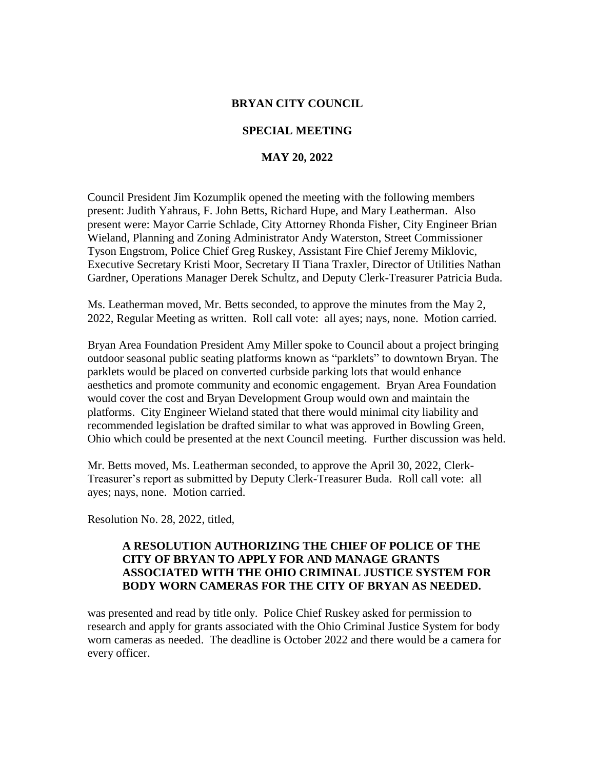#### **BRYAN CITY COUNCIL**

### **SPECIAL MEETING**

#### **MAY 20, 2022**

Council President Jim Kozumplik opened the meeting with the following members present: Judith Yahraus, F. John Betts, Richard Hupe, and Mary Leatherman. Also present were: Mayor Carrie Schlade, City Attorney Rhonda Fisher, City Engineer Brian Wieland, Planning and Zoning Administrator Andy Waterston, Street Commissioner Tyson Engstrom, Police Chief Greg Ruskey, Assistant Fire Chief Jeremy Miklovic, Executive Secretary Kristi Moor, Secretary II Tiana Traxler, Director of Utilities Nathan Gardner, Operations Manager Derek Schultz, and Deputy Clerk-Treasurer Patricia Buda.

Ms. Leatherman moved, Mr. Betts seconded, to approve the minutes from the May 2, 2022, Regular Meeting as written. Roll call vote: all ayes; nays, none. Motion carried.

Bryan Area Foundation President Amy Miller spoke to Council about a project bringing outdoor seasonal public seating platforms known as "parklets" to downtown Bryan. The parklets would be placed on converted curbside parking lots that would enhance aesthetics and promote community and economic engagement. Bryan Area Foundation would cover the cost and Bryan Development Group would own and maintain the platforms. City Engineer Wieland stated that there would minimal city liability and recommended legislation be drafted similar to what was approved in Bowling Green, Ohio which could be presented at the next Council meeting. Further discussion was held.

Mr. Betts moved, Ms. Leatherman seconded, to approve the April 30, 2022, Clerk-Treasurer's report as submitted by Deputy Clerk-Treasurer Buda. Roll call vote: all ayes; nays, none. Motion carried.

Resolution No. 28, 2022, titled,

#### **A RESOLUTION AUTHORIZING THE CHIEF OF POLICE OF THE CITY OF BRYAN TO APPLY FOR AND MANAGE GRANTS ASSOCIATED WITH THE OHIO CRIMINAL JUSTICE SYSTEM FOR BODY WORN CAMERAS FOR THE CITY OF BRYAN AS NEEDED.**

was presented and read by title only. Police Chief Ruskey asked for permission to research and apply for grants associated with the Ohio Criminal Justice System for body worn cameras as needed. The deadline is October 2022 and there would be a camera for every officer.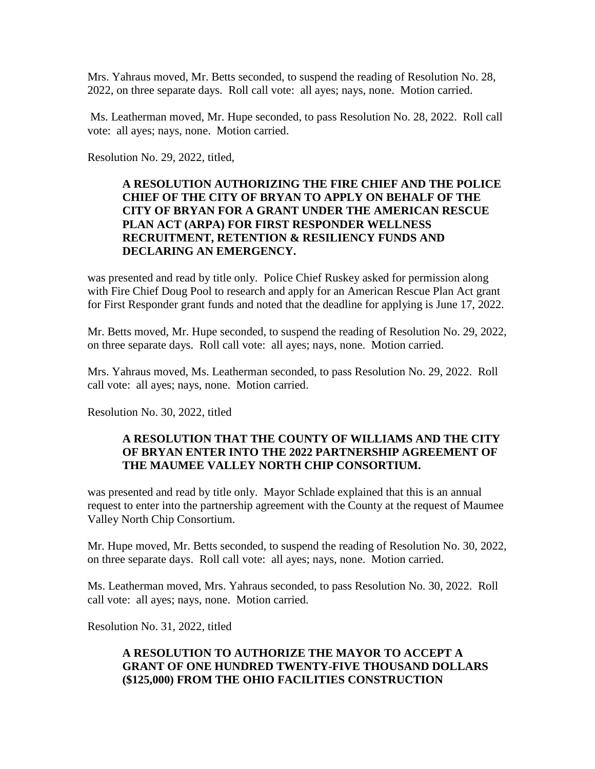Mrs. Yahraus moved, Mr. Betts seconded, to suspend the reading of Resolution No. 28, 2022, on three separate days. Roll call vote: all ayes; nays, none. Motion carried.

Ms. Leatherman moved, Mr. Hupe seconded, to pass Resolution No. 28, 2022. Roll call vote: all ayes; nays, none. Motion carried.

Resolution No. 29, 2022, titled,

### **A RESOLUTION AUTHORIZING THE FIRE CHIEF AND THE POLICE CHIEF OF THE CITY OF BRYAN TO APPLY ON BEHALF OF THE CITY OF BRYAN FOR A GRANT UNDER THE AMERICAN RESCUE PLAN ACT (ARPA) FOR FIRST RESPONDER WELLNESS RECRUITMENT, RETENTION & RESILIENCY FUNDS AND DECLARING AN EMERGENCY.**

was presented and read by title only. Police Chief Ruskey asked for permission along with Fire Chief Doug Pool to research and apply for an American Rescue Plan Act grant for First Responder grant funds and noted that the deadline for applying is June 17, 2022.

Mr. Betts moved, Mr. Hupe seconded, to suspend the reading of Resolution No. 29, 2022, on three separate days. Roll call vote: all ayes; nays, none. Motion carried.

Mrs. Yahraus moved, Ms. Leatherman seconded, to pass Resolution No. 29, 2022. Roll call vote: all ayes; nays, none. Motion carried.

Resolution No. 30, 2022, titled

## **A RESOLUTION THAT THE COUNTY OF WILLIAMS AND THE CITY OF BRYAN ENTER INTO THE 2022 PARTNERSHIP AGREEMENT OF THE MAUMEE VALLEY NORTH CHIP CONSORTIUM.**

was presented and read by title only. Mayor Schlade explained that this is an annual request to enter into the partnership agreement with the County at the request of Maumee Valley North Chip Consortium.

Mr. Hupe moved, Mr. Betts seconded, to suspend the reading of Resolution No. 30, 2022, on three separate days. Roll call vote: all ayes; nays, none. Motion carried.

Ms. Leatherman moved, Mrs. Yahraus seconded, to pass Resolution No. 30, 2022. Roll call vote: all ayes; nays, none. Motion carried.

Resolution No. 31, 2022, titled

## **A RESOLUTION TO AUTHORIZE THE MAYOR TO ACCEPT A GRANT OF ONE HUNDRED TWENTY-FIVE THOUSAND DOLLARS (\$125,000) FROM THE OHIO FACILITIES CONSTRUCTION**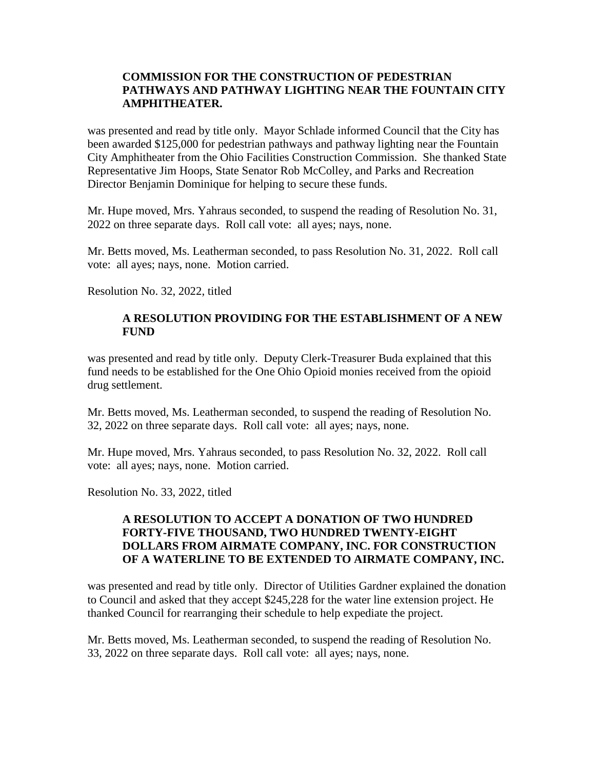## **COMMISSION FOR THE CONSTRUCTION OF PEDESTRIAN PATHWAYS AND PATHWAY LIGHTING NEAR THE FOUNTAIN CITY AMPHITHEATER.**

was presented and read by title only. Mayor Schlade informed Council that the City has been awarded \$125,000 for pedestrian pathways and pathway lighting near the Fountain City Amphitheater from the Ohio Facilities Construction Commission. She thanked State Representative Jim Hoops, State Senator Rob McColley, and Parks and Recreation Director Benjamin Dominique for helping to secure these funds.

Mr. Hupe moved, Mrs. Yahraus seconded, to suspend the reading of Resolution No. 31, 2022 on three separate days. Roll call vote: all ayes; nays, none.

Mr. Betts moved, Ms. Leatherman seconded, to pass Resolution No. 31, 2022. Roll call vote: all ayes; nays, none. Motion carried.

Resolution No. 32, 2022, titled

# **A RESOLUTION PROVIDING FOR THE ESTABLISHMENT OF A NEW FUND**

was presented and read by title only. Deputy Clerk-Treasurer Buda explained that this fund needs to be established for the One Ohio Opioid monies received from the opioid drug settlement.

Mr. Betts moved, Ms. Leatherman seconded, to suspend the reading of Resolution No. 32, 2022 on three separate days. Roll call vote: all ayes; nays, none.

Mr. Hupe moved, Mrs. Yahraus seconded, to pass Resolution No. 32, 2022. Roll call vote: all ayes; nays, none. Motion carried.

Resolution No. 33, 2022, titled

### **A RESOLUTION TO ACCEPT A DONATION OF TWO HUNDRED FORTY-FIVE THOUSAND, TWO HUNDRED TWENTY-EIGHT DOLLARS FROM AIRMATE COMPANY, INC. FOR CONSTRUCTION OF A WATERLINE TO BE EXTENDED TO AIRMATE COMPANY, INC.**

was presented and read by title only. Director of Utilities Gardner explained the donation to Council and asked that they accept \$245,228 for the water line extension project. He thanked Council for rearranging their schedule to help expediate the project.

Mr. Betts moved, Ms. Leatherman seconded, to suspend the reading of Resolution No. 33, 2022 on three separate days. Roll call vote: all ayes; nays, none.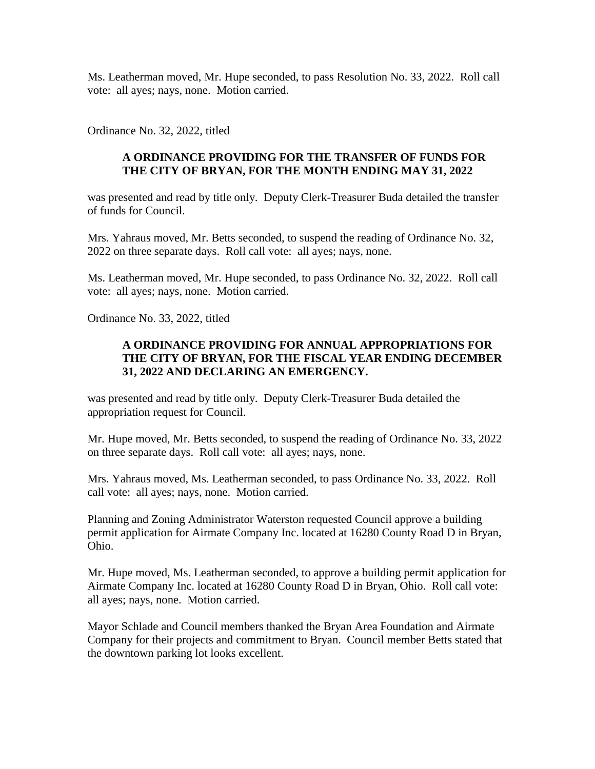Ms. Leatherman moved, Mr. Hupe seconded, to pass Resolution No. 33, 2022. Roll call vote: all ayes; nays, none. Motion carried.

Ordinance No. 32, 2022, titled

## **A ORDINANCE PROVIDING FOR THE TRANSFER OF FUNDS FOR THE CITY OF BRYAN, FOR THE MONTH ENDING MAY 31, 2022**

was presented and read by title only. Deputy Clerk-Treasurer Buda detailed the transfer of funds for Council.

Mrs. Yahraus moved, Mr. Betts seconded, to suspend the reading of Ordinance No. 32, 2022 on three separate days. Roll call vote: all ayes; nays, none.

Ms. Leatherman moved, Mr. Hupe seconded, to pass Ordinance No. 32, 2022. Roll call vote: all ayes; nays, none. Motion carried.

Ordinance No. 33, 2022, titled

## **A ORDINANCE PROVIDING FOR ANNUAL APPROPRIATIONS FOR THE CITY OF BRYAN, FOR THE FISCAL YEAR ENDING DECEMBER 31, 2022 AND DECLARING AN EMERGENCY.**

was presented and read by title only. Deputy Clerk-Treasurer Buda detailed the appropriation request for Council.

Mr. Hupe moved, Mr. Betts seconded, to suspend the reading of Ordinance No. 33, 2022 on three separate days. Roll call vote: all ayes; nays, none.

Mrs. Yahraus moved, Ms. Leatherman seconded, to pass Ordinance No. 33, 2022. Roll call vote: all ayes; nays, none. Motion carried.

Planning and Zoning Administrator Waterston requested Council approve a building permit application for Airmate Company Inc. located at 16280 County Road D in Bryan, Ohio.

Mr. Hupe moved, Ms. Leatherman seconded, to approve a building permit application for Airmate Company Inc. located at 16280 County Road D in Bryan, Ohio. Roll call vote: all ayes; nays, none. Motion carried.

Mayor Schlade and Council members thanked the Bryan Area Foundation and Airmate Company for their projects and commitment to Bryan. Council member Betts stated that the downtown parking lot looks excellent.